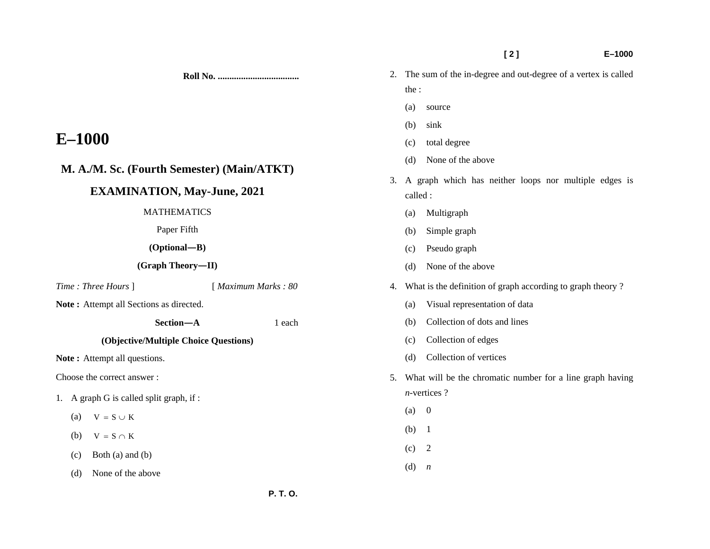**[ 2 ] E–1000** 

- 2. The sum of the in-degree and out-degree of a vertex is called the :
	- (a) source
	- (b) sink
	- (c) total degree
	- (d) None of the above
	- 3. A graph which has neither loops nor multiple edges is called :
		- (a) Multigraph
		- (b) Simple graph
		- (c) Pseudo graph
		- (d) None of the above
	- 4. What is the definition of graph according to graph theory ?
		- (a) Visual representation of data
		- (b) Collection of dots and lines
		- (c) Collection of edges
		- (d) Collection of vertices
	- 5. What will be the chromatic number for a line graph having *n-*vertices ?
		- $(a) 0$
		- (b) 1
		- $(c)$  2
		- (d) *n*

# **M. A./M. Sc. (Fourth Semester) (Main/ATKT)**

# **EXAMINATION, May-June, 2021**

## MATHEMATICS

Paper Fifth

**(Optional—B)** 

**(Graph Theory—II)** 

*Time : Three Hours* ] [ *Maximum Marks : 80* 

**Note :** Attempt all Sections as directed.

 **Section—A** 1 each

**Roll No. ...................................** 

## **(Objective/Multiple Choice Questions)**

Note: Attempt all questions.

Choose the correct answer :

- 1. A graph G is called split graph, if :
	- (a)  $V = S \cup K$
	- (b)  $V = S \cap K$
	- $(c)$  Both  $(a)$  and  $(b)$
	- (d) None of the above
	-

**E–1000**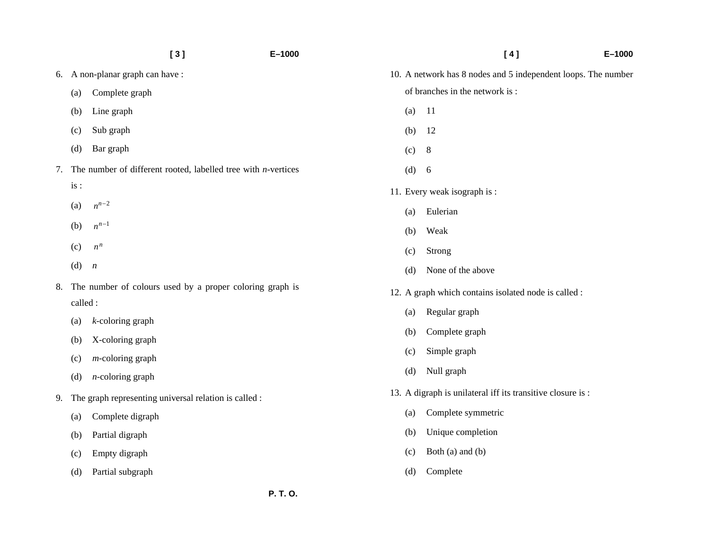|    |          | [3]                                                              | $E - 1000$ |     | [4]                                                           | $E - 1000$ |
|----|----------|------------------------------------------------------------------|------------|-----|---------------------------------------------------------------|------------|
|    |          | 6. A non-planar graph can have:                                  |            |     | 10. A network has 8 nodes and 5 independent loops. The number |            |
|    | (a)      | Complete graph                                                   |            |     | of branches in the network is:                                |            |
|    | (b)      | Line graph                                                       |            | (a) | <sup>11</sup>                                                 |            |
|    | (c)      | Sub graph                                                        |            | (b) | 12                                                            |            |
|    | (d)      | Bar graph                                                        |            | (c) | 8                                                             |            |
| 7. |          | The number of different rooted, labelled tree with $n$ -vertices |            | (d) | 6                                                             |            |
|    | is:      |                                                                  |            |     | 11. Every weak isograph is:                                   |            |
|    | (a)      | $n^{n-2}$                                                        |            | (a) | Eulerian                                                      |            |
|    | (b)      | $n^{n-1}$                                                        |            | (b) | Weak                                                          |            |
|    | (c)      | $n^n$                                                            |            | (c) | Strong                                                        |            |
|    | (d)      | $\boldsymbol{n}$                                                 |            | (d) | None of the above                                             |            |
| 8. |          | The number of colours used by a proper coloring graph is         |            |     | 12. A graph which contains isolated node is called :          |            |
|    | called : |                                                                  |            | (a) | Regular graph                                                 |            |
|    | (a)      | $k$ -coloring graph                                              |            | (b) | Complete graph                                                |            |
|    | (b)      | X-coloring graph                                                 |            |     |                                                               |            |
|    | (c)      | $m$ -coloring graph                                              |            | (c) | Simple graph                                                  |            |
|    | (d)      | $n$ -coloring graph                                              |            | (d) | Null graph                                                    |            |
| 9. |          | The graph representing universal relation is called :            |            |     | 13. A digraph is unilateral iff its transitive closure is :   |            |
|    | (a)      | Complete digraph                                                 |            | (a) | Complete symmetric                                            |            |
|    | (b)      | Partial digraph                                                  |            | (b) | Unique completion                                             |            |
|    | (c)      | Empty digraph                                                    |            | (c) | Both (a) and (b)                                              |            |
|    | (d)      | Partial subgraph                                                 |            | (d) | Complete                                                      |            |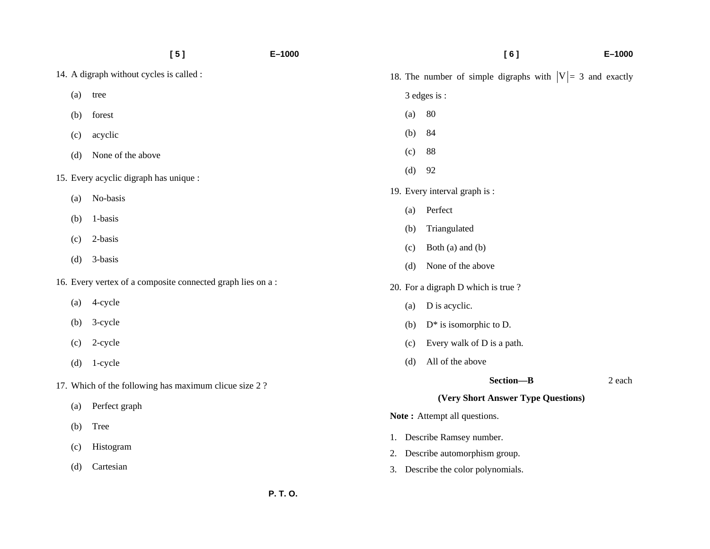|     | [5]                                                        | $E - 1000$     |     | [6]                                                          | $E - 1000$ |
|-----|------------------------------------------------------------|----------------|-----|--------------------------------------------------------------|------------|
|     | 14. A digraph without cycles is called :                   |                |     | 18. The number of simple digraphs with $ V  = 3$ and exactly |            |
| (a) | tree                                                       |                |     | 3 edges is :                                                 |            |
| (b) | forest                                                     |                | (a) | 80                                                           |            |
| (c) | acyclic                                                    |                | (b) | 84                                                           |            |
| (d) | None of the above                                          |                | (c) | 88                                                           |            |
|     | 15. Every acyclic digraph has unique :                     |                | (d) | 92                                                           |            |
|     | No-basis<br>(a)                                            |                |     | 19. Every interval graph is :                                |            |
| (b) | 1-basis                                                    | Perfect<br>(a) |     |                                                              |            |
|     | 2-basis                                                    |                | (b) | Triangulated                                                 |            |
| (c) |                                                            |                | (c) | Both (a) and (b)                                             |            |
| (d) | 3-basis                                                    |                | (d) | None of the above                                            |            |
|     | 16. Every vertex of a composite connected graph lies on a: |                |     | 20. For a digraph D which is true?                           |            |
| (a) | 4-cycle                                                    |                | (a) | D is acyclic.                                                |            |
| (b) | 3-cycle                                                    |                | (b) | $D^*$ is isomorphic to D.                                    |            |
| (c) | 2-cycle                                                    |                | (c) | Every walk of D is a path.                                   |            |
| (d) | 1-cycle                                                    |                | (d) | All of the above                                             |            |
|     | 17. Which of the following has maximum clicue size 2?      |                |     | Section-B                                                    | 2 each     |
| (a) | Perfect graph                                              |                |     | (Very Short Answer Type Questions)                           |            |
|     |                                                            |                |     | Note: Attempt all questions.                                 |            |
| (b) | Tree                                                       |                |     | 1. Describe Ramsey number.                                   |            |
| (c) | Histogram                                                  |                | 2.  | Describe automorphism group.                                 |            |
| (d) | Cartesian                                                  |                |     | 3. Describe the color polynomials.                           |            |